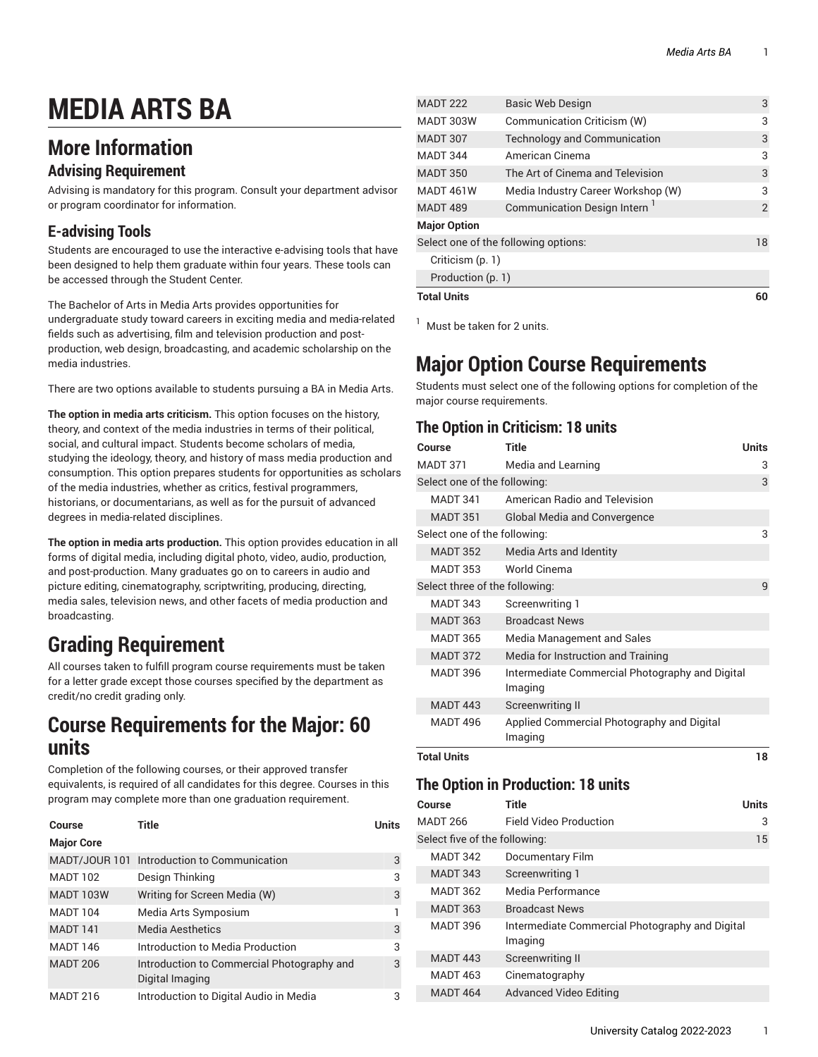# **MEDIA ARTS BA**

### **More Information**

### **Advising Requirement**

Advising is mandatory for this program. Consult your department advisor or program coordinator for information.

### **E-advising Tools**

Students are encouraged to use the interactive e-advising tools that have been designed to help them graduate within four years. These tools can be accessed through the Student Center.

The Bachelor of Arts in Media Arts provides opportunities for undergraduate study toward careers in exciting media and media-related fields such as advertising, film and television production and postproduction, web design, broadcasting, and academic scholarship on the media industries.

There are two options available to students pursuing a BA in Media Arts.

**The option in media arts criticism.** This option focuses on the history, theory, and context of the media industries in terms of their political, social, and cultural impact. Students become scholars of media, studying the ideology, theory, and history of mass media production and consumption. This option prepares students for opportunities as scholars of the media industries, whether as critics, festival programmers, historians, or documentarians, as well as for the pursuit of advanced degrees in media-related disciplines.

**The option in media arts production.** This option provides education in all forms of digital media, including digital photo, video, audio, production, and post-production. Many graduates go on to careers in audio and picture editing, cinematography, scriptwriting, producing, directing, media sales, television news, and other facets of media production and broadcasting.

## **Grading Requirement**

All courses taken to fulfill program course requirements must be taken for a letter grade except those courses specified by the department as credit/no credit grading only.

### **Course Requirements for the Major: 60 units**

Completion of the following courses, or their approved transfer equivalents, is required of all candidates for this degree. Courses in this program may complete more than one graduation requirement.

| Course            | Title                                                         | Units |
|-------------------|---------------------------------------------------------------|-------|
| <b>Major Core</b> |                                                               |       |
|                   | MADT/JOUR 101 Introduction to Communication                   | 3     |
| <b>MADT 102</b>   | Design Thinking                                               | 3     |
| <b>MADT 103W</b>  | Writing for Screen Media (W)                                  | 3     |
| <b>MADT 104</b>   | Media Arts Symposium                                          |       |
| <b>MADT 141</b>   | <b>Media Aesthetics</b>                                       | 3     |
| <b>MADT 146</b>   | Introduction to Media Production                              | 3     |
| <b>MADT 206</b>   | Introduction to Commercial Photography and<br>Digital Imaging | 3     |
| <b>MADT 216</b>   | Introduction to Digital Audio in Media                        | 3     |

| <b>MADT 222</b>                      | Basic Web Design                         | 3  |
|--------------------------------------|------------------------------------------|----|
| MADT 303W                            | Communication Criticism (W)              | 3  |
| <b>MADT 307</b>                      | Technology and Communication             | 3  |
| <b>MADT 344</b>                      | American Cinema                          | 3  |
| <b>MADT 350</b>                      | The Art of Cinema and Television         | 3  |
| MADT 461W                            | Media Industry Career Workshop (W)       | 3  |
| <b>MADT 489</b>                      | Communication Design Intern <sup>1</sup> | 2  |
| <b>Major Option</b>                  |                                          |    |
| Select one of the following options: |                                          | 18 |
| Criticism (p. 1)                     |                                          |    |
| Production (p. 1)                    |                                          |    |
| <b>Total Units</b>                   |                                          | 60 |

 $<sup>1</sup>$  Must be taken for 2 units.</sup>

## **Major Option Course Requirements**

Students must select one of the following options for completion of the major course requirements.

### <span id="page-0-0"></span>**The Option in Criticism: 18 units**

| Course                         | Title                                                      | <b>Units</b> |
|--------------------------------|------------------------------------------------------------|--------------|
| MADT 371                       | Media and Learning                                         | 3            |
| Select one of the following:   |                                                            | 3            |
| <b>MADT 341</b>                | American Badio and Television                              |              |
| <b>MADT 351</b>                | <b>Global Media and Convergence</b>                        |              |
| Select one of the following:   |                                                            | 3            |
| <b>MADT 352</b>                | Media Arts and Identity                                    |              |
| <b>MADT 353</b>                | World Cinema                                               |              |
| Select three of the following: |                                                            | 9            |
| <b>MADT 343</b>                | Screenwriting 1                                            |              |
| <b>MADT 363</b>                | <b>Broadcast News</b>                                      |              |
| <b>MADT 365</b>                | Media Management and Sales                                 |              |
| <b>MADT 372</b>                | Media for Instruction and Training                         |              |
| <b>MADT 396</b>                | Intermediate Commercial Photography and Digital<br>Imaging |              |
| <b>MADT 443</b>                | <b>Screenwriting II</b>                                    |              |
| <b>MADT 496</b>                | Applied Commercial Photography and Digital<br>Imaging      |              |
| Total Units                    |                                                            |              |

### <span id="page-0-1"></span>**The Option in Production: 18 units**

| Course                        | Title                                                      | <b>Units</b> |
|-------------------------------|------------------------------------------------------------|--------------|
| <b>MADT 266</b>               | <b>Field Video Production</b>                              | 3            |
| Select five of the following: |                                                            |              |
| <b>MADT 342</b>               | <b>Documentary Film</b>                                    |              |
| <b>MADT 343</b>               | Screenwriting 1                                            |              |
| <b>MADT 362</b>               | Media Performance                                          |              |
| <b>MADT 363</b>               | <b>Broadcast News</b>                                      |              |
| <b>MADT 396</b>               | Intermediate Commercial Photography and Digital<br>Imaging |              |
| <b>MADT 443</b>               | Screenwriting II                                           |              |
| <b>MADT 463</b>               | Cinematography                                             |              |
| <b>MADT 464</b>               | Advanced Video Editing                                     |              |